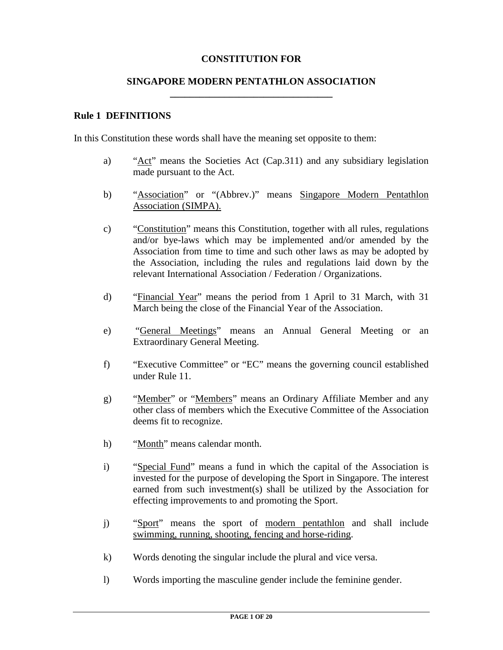### **CONSTITUTION FOR**

#### **SINGAPORE MODERN PENTATHLON ASSOCIATION \_\_\_\_\_\_\_\_\_\_\_\_\_\_\_\_\_\_\_\_\_\_\_\_\_\_\_\_\_\_\_\_\_**

#### **Rule 1 DEFINITIONS**

In this Constitution these words shall have the meaning set opposite to them:

- a) "Act" means the Societies Act (Cap.311) and any subsidiary legislation made pursuant to the Act.
- b) "Association" or "(Abbrev.)" means Singapore Modern Pentathlon Association (SIMPA).
- c) "Constitution" means this Constitution, together with all rules, regulations and/or bye-laws which may be implemented and/or amended by the Association from time to time and such other laws as may be adopted by the Association, including the rules and regulations laid down by the relevant International Association / Federation / Organizations.
- d) "Financial Year" means the period from 1 April to 31 March, with 31 March being the close of the Financial Year of the Association.
- e) "General Meetings" means an Annual General Meeting or an Extraordinary General Meeting.
- f) "Executive Committee" or "EC" means the governing council established under Rule 11.
- g) "Member" or "Members" means an Ordinary Affiliate Member and any other class of members which the Executive Committee of the Association deems fit to recognize.
- h) "Month" means calendar month.
- i) "Special Fund" means a fund in which the capital of the Association is invested for the purpose of developing the Sport in Singapore. The interest earned from such investment(s) shall be utilized by the Association for effecting improvements to and promoting the Sport.
- j) "Sport" means the sport of modern pentathlon and shall include swimming, running, shooting, fencing and horse-riding.
- k) Words denoting the singular include the plural and vice versa.
- l) Words importing the masculine gender include the feminine gender.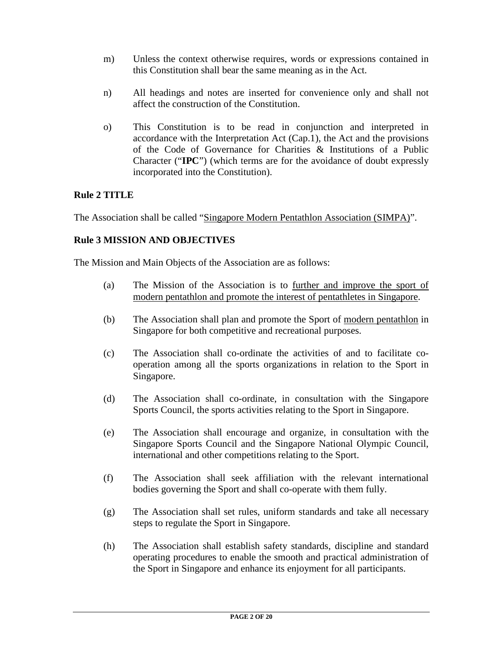- m) Unless the context otherwise requires, words or expressions contained in this Constitution shall bear the same meaning as in the Act.
- n) All headings and notes are inserted for convenience only and shall not affect the construction of the Constitution.
- o) This Constitution is to be read in conjunction and interpreted in accordance with the Interpretation Act (Cap.1), the Act and the provisions of the Code of Governance for Charities & Institutions of a Public Character ("**IPC**") (which terms are for the avoidance of doubt expressly incorporated into the Constitution).

## **Rule 2 TITLE**

The Association shall be called "Singapore Modern Pentathlon Association (SIMPA)".

## **Rule 3 MISSION AND OBJECTIVES**

The Mission and Main Objects of the Association are as follows:

- (a) The Mission of the Association is to further and improve the sport of modern pentathlon and promote the interest of pentathletes in Singapore.
- (b) The Association shall plan and promote the Sport of modern pentathlon in Singapore for both competitive and recreational purposes.
- (c) The Association shall co-ordinate the activities of and to facilitate cooperation among all the sports organizations in relation to the Sport in Singapore.
- (d) The Association shall co-ordinate, in consultation with the Singapore Sports Council, the sports activities relating to the Sport in Singapore.
- (e) The Association shall encourage and organize, in consultation with the Singapore Sports Council and the Singapore National Olympic Council, international and other competitions relating to the Sport.
- (f) The Association shall seek affiliation with the relevant international bodies governing the Sport and shall co-operate with them fully.
- (g) The Association shall set rules, uniform standards and take all necessary steps to regulate the Sport in Singapore.
- (h) The Association shall establish safety standards, discipline and standard operating procedures to enable the smooth and practical administration of the Sport in Singapore and enhance its enjoyment for all participants.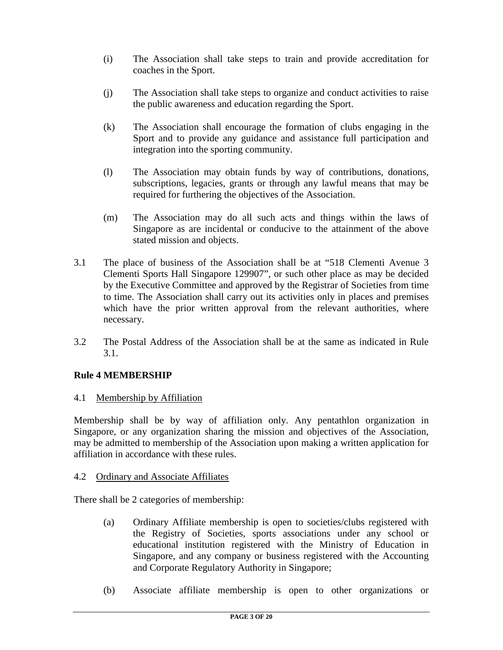- (i) The Association shall take steps to train and provide accreditation for coaches in the Sport.
- (j) The Association shall take steps to organize and conduct activities to raise the public awareness and education regarding the Sport.
- (k) The Association shall encourage the formation of clubs engaging in the Sport and to provide any guidance and assistance full participation and integration into the sporting community.
- (l) The Association may obtain funds by way of contributions, donations, subscriptions, legacies, grants or through any lawful means that may be required for furthering the objectives of the Association.
- (m) The Association may do all such acts and things within the laws of Singapore as are incidental or conducive to the attainment of the above stated mission and objects.
- 3.1 The place of business of the Association shall be at "518 Clementi Avenue 3 Clementi Sports Hall Singapore 129907", or such other place as may be decided by the Executive Committee and approved by the Registrar of Societies from time to time. The Association shall carry out its activities only in places and premises which have the prior written approval from the relevant authorities, where necessary.
- 3.2 The Postal Address of the Association shall be at the same as indicated in Rule 3.1.

## **Rule 4 MEMBERSHIP**

4.1 Membership by Affiliation

Membership shall be by way of affiliation only. Any pentathlon organization in Singapore, or any organization sharing the mission and objectives of the Association, may be admitted to membership of the Association upon making a written application for affiliation in accordance with these rules.

#### 4.2 Ordinary and Associate Affiliates

There shall be 2 categories of membership:

- (a) Ordinary Affiliate membership is open to societies/clubs registered with the Registry of Societies, sports associations under any school or educational institution registered with the Ministry of Education in Singapore, and any company or business registered with the Accounting and Corporate Regulatory Authority in Singapore;
- (b) Associate affiliate membership is open to other organizations or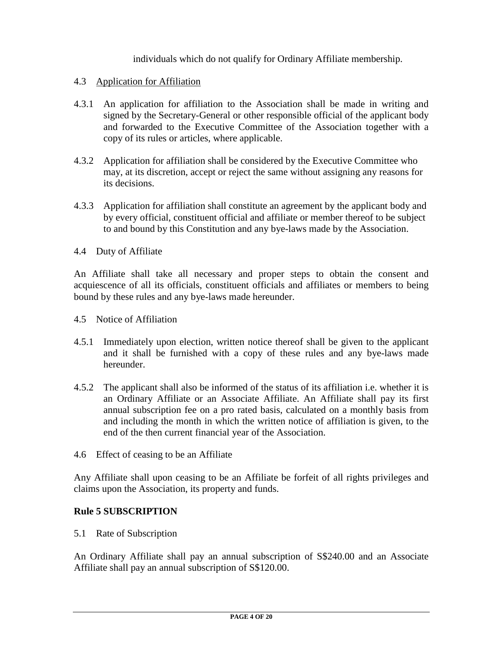individuals which do not qualify for Ordinary Affiliate membership.

#### 4.3 Application for Affiliation

- 4.3.1 An application for affiliation to the Association shall be made in writing and signed by the Secretary-General or other responsible official of the applicant body and forwarded to the Executive Committee of the Association together with a copy of its rules or articles, where applicable.
- 4.3.2 Application for affiliation shall be considered by the Executive Committee who may, at its discretion, accept or reject the same without assigning any reasons for its decisions.
- 4.3.3 Application for affiliation shall constitute an agreement by the applicant body and by every official, constituent official and affiliate or member thereof to be subject to and bound by this Constitution and any bye-laws made by the Association.
- 4.4 Duty of Affiliate

An Affiliate shall take all necessary and proper steps to obtain the consent and acquiescence of all its officials, constituent officials and affiliates or members to being bound by these rules and any bye-laws made hereunder.

- 4.5 Notice of Affiliation
- 4.5.1 Immediately upon election, written notice thereof shall be given to the applicant and it shall be furnished with a copy of these rules and any bye-laws made hereunder.
- 4.5.2 The applicant shall also be informed of the status of its affiliation i.e. whether it is an Ordinary Affiliate or an Associate Affiliate. An Affiliate shall pay its first annual subscription fee on a pro rated basis, calculated on a monthly basis from and including the month in which the written notice of affiliation is given, to the end of the then current financial year of the Association.
- 4.6 Effect of ceasing to be an Affiliate

Any Affiliate shall upon ceasing to be an Affiliate be forfeit of all rights privileges and claims upon the Association, its property and funds.

### **Rule 5 SUBSCRIPTION**

5.1 Rate of Subscription

An Ordinary Affiliate shall pay an annual subscription of S\$240.00 and an Associate Affiliate shall pay an annual subscription of S\$120.00.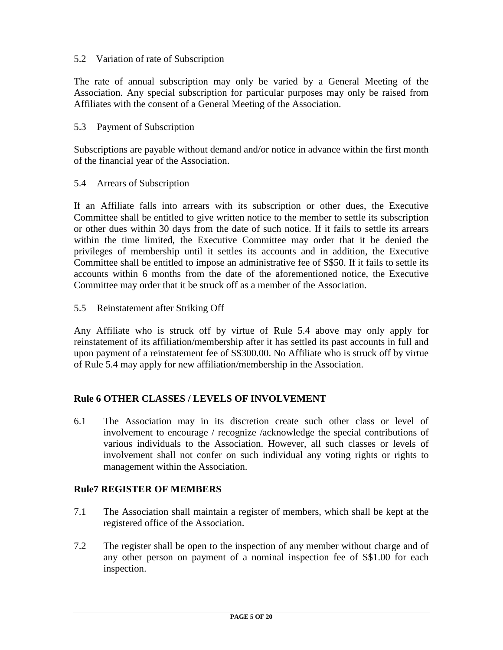### 5.2 Variation of rate of Subscription

The rate of annual subscription may only be varied by a General Meeting of the Association. Any special subscription for particular purposes may only be raised from Affiliates with the consent of a General Meeting of the Association.

#### 5.3 Payment of Subscription

Subscriptions are payable without demand and/or notice in advance within the first month of the financial year of the Association.

#### 5.4 Arrears of Subscription

If an Affiliate falls into arrears with its subscription or other dues, the Executive Committee shall be entitled to give written notice to the member to settle its subscription or other dues within 30 days from the date of such notice. If it fails to settle its arrears within the time limited, the Executive Committee may order that it be denied the privileges of membership until it settles its accounts and in addition, the Executive Committee shall be entitled to impose an administrative fee of S\$50. If it fails to settle its accounts within 6 months from the date of the aforementioned notice, the Executive Committee may order that it be struck off as a member of the Association.

5.5 Reinstatement after Striking Off

Any Affiliate who is struck off by virtue of Rule 5.4 above may only apply for reinstatement of its affiliation/membership after it has settled its past accounts in full and upon payment of a reinstatement fee of S\$300.00. No Affiliate who is struck off by virtue of Rule 5.4 may apply for new affiliation/membership in the Association.

### **Rule 6 OTHER CLASSES / LEVELS OF INVOLVEMENT**

6.1 The Association may in its discretion create such other class or level of involvement to encourage / recognize /acknowledge the special contributions of various individuals to the Association. However, all such classes or levels of involvement shall not confer on such individual any voting rights or rights to management within the Association.

#### **Rule7 REGISTER OF MEMBERS**

- 7.1 The Association shall maintain a register of members, which shall be kept at the registered office of the Association.
- 7.2 The register shall be open to the inspection of any member without charge and of any other person on payment of a nominal inspection fee of S\$1.00 for each inspection.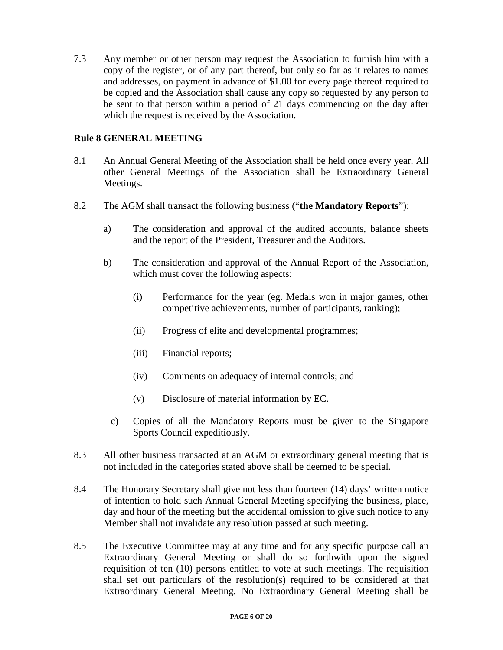7.3 Any member or other person may request the Association to furnish him with a copy of the register, or of any part thereof, but only so far as it relates to names and addresses, on payment in advance of \$1.00 for every page thereof required to be copied and the Association shall cause any copy so requested by any person to be sent to that person within a period of 21 days commencing on the day after which the request is received by the Association.

## **Rule 8 GENERAL MEETING**

- 8.1 An Annual General Meeting of the Association shall be held once every year. All other General Meetings of the Association shall be Extraordinary General Meetings.
- 8.2 The AGM shall transact the following business ("**the Mandatory Reports**"):
	- a) The consideration and approval of the audited accounts, balance sheets and the report of the President, Treasurer and the Auditors.
	- b) The consideration and approval of the Annual Report of the Association, which must cover the following aspects:
		- (i) Performance for the year (eg. Medals won in major games, other competitive achievements, number of participants, ranking);
		- (ii) Progress of elite and developmental programmes;
		- (iii) Financial reports;
		- (iv) Comments on adequacy of internal controls; and
		- (v) Disclosure of material information by EC.
		- c) Copies of all the Mandatory Reports must be given to the Singapore Sports Council expeditiously.
- 8.3 All other business transacted at an AGM or extraordinary general meeting that is not included in the categories stated above shall be deemed to be special.
- 8.4 The Honorary Secretary shall give not less than fourteen (14) days' written notice of intention to hold such Annual General Meeting specifying the business, place, day and hour of the meeting but the accidental omission to give such notice to any Member shall not invalidate any resolution passed at such meeting.
- 8.5 The Executive Committee may at any time and for any specific purpose call an Extraordinary General Meeting or shall do so forthwith upon the signed requisition of ten (10) persons entitled to vote at such meetings. The requisition shall set out particulars of the resolution(s) required to be considered at that Extraordinary General Meeting. No Extraordinary General Meeting shall be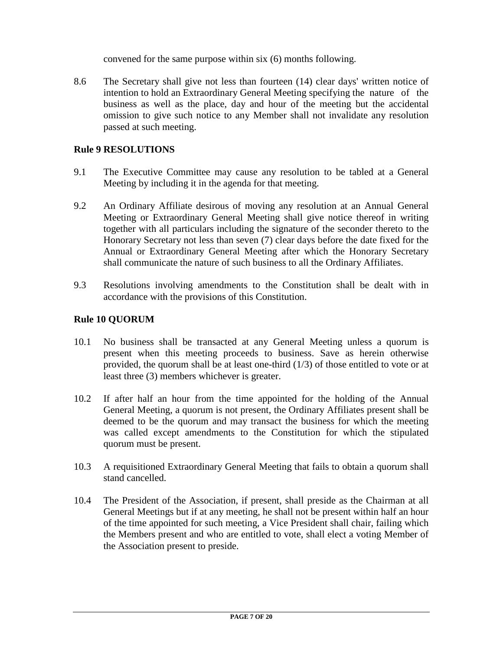convened for the same purpose within six (6) months following.

8.6 The Secretary shall give not less than fourteen (14) clear days' written notice of intention to hold an Extraordinary General Meeting specifying the nature of the business as well as the place, day and hour of the meeting but the accidental omission to give such notice to any Member shall not invalidate any resolution passed at such meeting.

### **Rule 9 RESOLUTIONS**

- 9.1 The Executive Committee may cause any resolution to be tabled at a General Meeting by including it in the agenda for that meeting.
- 9.2 An Ordinary Affiliate desirous of moving any resolution at an Annual General Meeting or Extraordinary General Meeting shall give notice thereof in writing together with all particulars including the signature of the seconder thereto to the Honorary Secretary not less than seven (7) clear days before the date fixed for the Annual or Extraordinary General Meeting after which the Honorary Secretary shall communicate the nature of such business to all the Ordinary Affiliates.
- 9.3 Resolutions involving amendments to the Constitution shall be dealt with in accordance with the provisions of this Constitution.

## **Rule 10 QUORUM**

- 10.1 No business shall be transacted at any General Meeting unless a quorum is present when this meeting proceeds to business. Save as herein otherwise provided, the quorum shall be at least one-third (1/3) of those entitled to vote or at least three (3) members whichever is greater.
- 10.2 If after half an hour from the time appointed for the holding of the Annual General Meeting, a quorum is not present, the Ordinary Affiliates present shall be deemed to be the quorum and may transact the business for which the meeting was called except amendments to the Constitution for which the stipulated quorum must be present.
- 10.3 A requisitioned Extraordinary General Meeting that fails to obtain a quorum shall stand cancelled.
- 10.4 The President of the Association, if present, shall preside as the Chairman at all General Meetings but if at any meeting, he shall not be present within half an hour of the time appointed for such meeting, a Vice President shall chair, failing which the Members present and who are entitled to vote, shall elect a voting Member of the Association present to preside.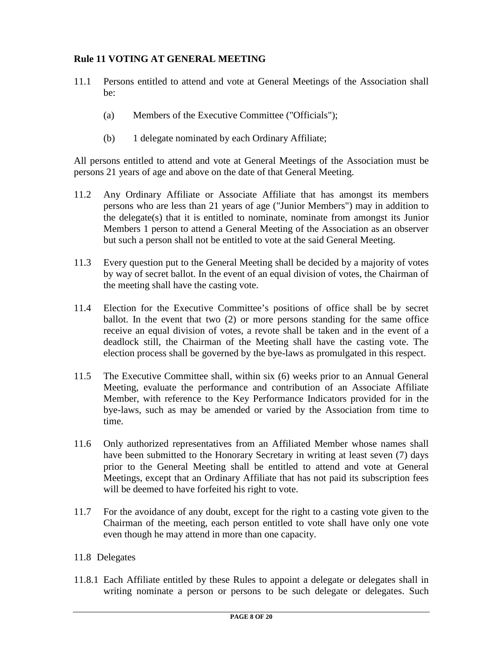## **Rule 11 VOTING AT GENERAL MEETING**

- 11.1 Persons entitled to attend and vote at General Meetings of the Association shall be:
	- (a) Members of the Executive Committee ("Officials");
	- (b) 1 delegate nominated by each Ordinary Affiliate;

All persons entitled to attend and vote at General Meetings of the Association must be persons 21 years of age and above on the date of that General Meeting.

- 11.2 Any Ordinary Affiliate or Associate Affiliate that has amongst its members persons who are less than 21 years of age ("Junior Members") may in addition to the delegate(s) that it is entitled to nominate, nominate from amongst its Junior Members 1 person to attend a General Meeting of the Association as an observer but such a person shall not be entitled to vote at the said General Meeting.
- 11.3 Every question put to the General Meeting shall be decided by a majority of votes by way of secret ballot. In the event of an equal division of votes, the Chairman of the meeting shall have the casting vote.
- 11.4 Election for the Executive Committee's positions of office shall be by secret ballot. In the event that two (2) or more persons standing for the same office receive an equal division of votes, a revote shall be taken and in the event of a deadlock still, the Chairman of the Meeting shall have the casting vote. The election process shall be governed by the bye-laws as promulgated in this respect.
- 11.5 The Executive Committee shall, within six (6) weeks prior to an Annual General Meeting, evaluate the performance and contribution of an Associate Affiliate Member, with reference to the Key Performance Indicators provided for in the bye-laws, such as may be amended or varied by the Association from time to time.
- 11.6 Only authorized representatives from an Affiliated Member whose names shall have been submitted to the Honorary Secretary in writing at least seven (7) days prior to the General Meeting shall be entitled to attend and vote at General Meetings, except that an Ordinary Affiliate that has not paid its subscription fees will be deemed to have forfeited his right to vote.
- 11.7 For the avoidance of any doubt, except for the right to a casting vote given to the Chairman of the meeting, each person entitled to vote shall have only one vote even though he may attend in more than one capacity.

### 11.8 Delegates

11.8.1 Each Affiliate entitled by these Rules to appoint a delegate or delegates shall in writing nominate a person or persons to be such delegate or delegates. Such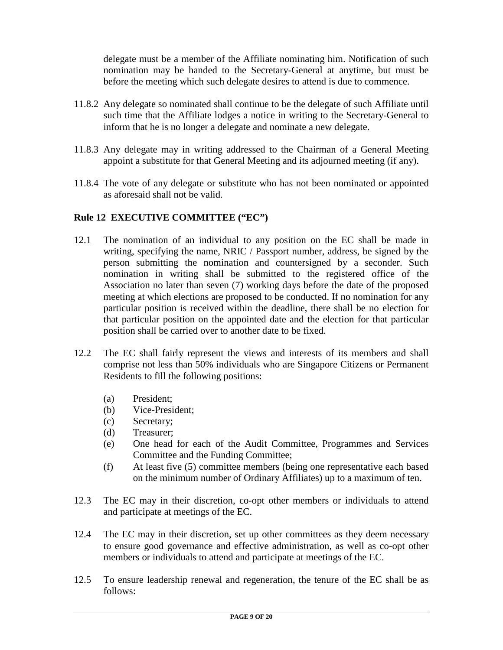delegate must be a member of the Affiliate nominating him. Notification of such nomination may be handed to the Secretary-General at anytime, but must be before the meeting which such delegate desires to attend is due to commence.

- 11.8.2 Any delegate so nominated shall continue to be the delegate of such Affiliate until such time that the Affiliate lodges a notice in writing to the Secretary-General to inform that he is no longer a delegate and nominate a new delegate.
- 11.8.3 Any delegate may in writing addressed to the Chairman of a General Meeting appoint a substitute for that General Meeting and its adjourned meeting (if any).
- 11.8.4 The vote of any delegate or substitute who has not been nominated or appointed as aforesaid shall not be valid.

### **Rule 12 EXECUTIVE COMMITTEE ("EC")**

- 12.1 The nomination of an individual to any position on the EC shall be made in writing, specifying the name, NRIC / Passport number, address, be signed by the person submitting the nomination and countersigned by a seconder. Such nomination in writing shall be submitted to the registered office of the Association no later than seven (7) working days before the date of the proposed meeting at which elections are proposed to be conducted. If no nomination for any particular position is received within the deadline, there shall be no election for that particular position on the appointed date and the election for that particular position shall be carried over to another date to be fixed.
- 12.2 The EC shall fairly represent the views and interests of its members and shall comprise not less than 50% individuals who are Singapore Citizens or Permanent Residents to fill the following positions:
	- (a) President;
	- (b) Vice-President;
	- (c) Secretary;
	- (d) Treasurer;
	- (e) One head for each of the Audit Committee, Programmes and Services Committee and the Funding Committee;
	- (f) At least five (5) committee members (being one representative each based on the minimum number of Ordinary Affiliates) up to a maximum of ten.
- 12.3 The EC may in their discretion, co-opt other members or individuals to attend and participate at meetings of the EC.
- 12.4 The EC may in their discretion, set up other committees as they deem necessary to ensure good governance and effective administration, as well as co-opt other members or individuals to attend and participate at meetings of the EC.
- 12.5 To ensure leadership renewal and regeneration, the tenure of the EC shall be as follows: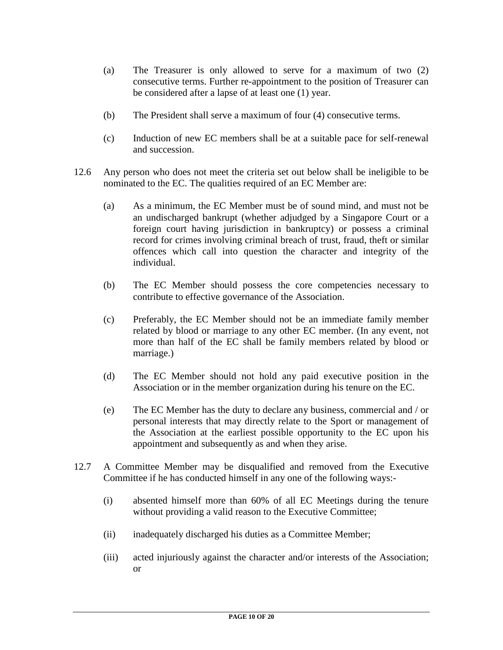- (a) The Treasurer is only allowed to serve for a maximum of two (2) consecutive terms. Further re-appointment to the position of Treasurer can be considered after a lapse of at least one (1) year.
- (b) The President shall serve a maximum of four (4) consecutive terms.
- (c) Induction of new EC members shall be at a suitable pace for self-renewal and succession.
- 12.6 Any person who does not meet the criteria set out below shall be ineligible to be nominated to the EC. The qualities required of an EC Member are:
	- (a) As a minimum, the EC Member must be of sound mind, and must not be an undischarged bankrupt (whether adjudged by a Singapore Court or a foreign court having jurisdiction in bankruptcy) or possess a criminal record for crimes involving criminal breach of trust, fraud, theft or similar offences which call into question the character and integrity of the individual.
	- (b) The EC Member should possess the core competencies necessary to contribute to effective governance of the Association.
	- (c) Preferably, the EC Member should not be an immediate family member related by blood or marriage to any other EC member. (In any event, not more than half of the EC shall be family members related by blood or marriage.)
	- (d) The EC Member should not hold any paid executive position in the Association or in the member organization during his tenure on the EC.
	- (e) The EC Member has the duty to declare any business, commercial and / or personal interests that may directly relate to the Sport or management of the Association at the earliest possible opportunity to the EC upon his appointment and subsequently as and when they arise.
- 12.7 A Committee Member may be disqualified and removed from the Executive Committee if he has conducted himself in any one of the following ways:-
	- (i) absented himself more than 60% of all EC Meetings during the tenure without providing a valid reason to the Executive Committee;
	- (ii) inadequately discharged his duties as a Committee Member;
	- (iii) acted injuriously against the character and/or interests of the Association; or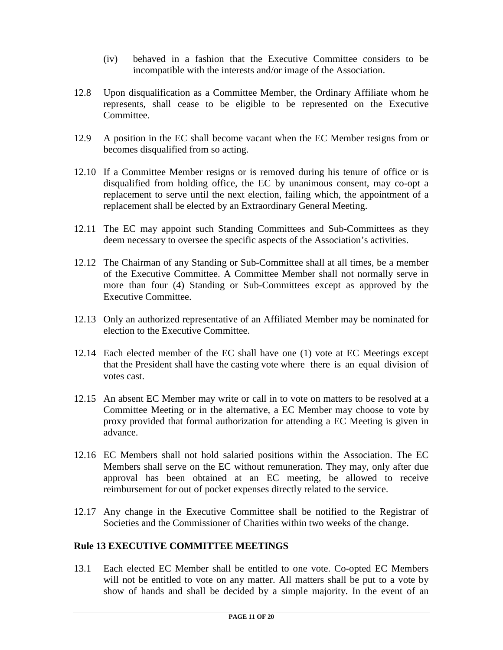- (iv) behaved in a fashion that the Executive Committee considers to be incompatible with the interests and/or image of the Association.
- 12.8 Upon disqualification as a Committee Member, the Ordinary Affiliate whom he represents, shall cease to be eligible to be represented on the Executive Committee.
- 12.9 A position in the EC shall become vacant when the EC Member resigns from or becomes disqualified from so acting.
- 12.10 If a Committee Member resigns or is removed during his tenure of office or is disqualified from holding office, the EC by unanimous consent, may co-opt a replacement to serve until the next election, failing which, the appointment of a replacement shall be elected by an Extraordinary General Meeting.
- 12.11 The EC may appoint such Standing Committees and Sub-Committees as they deem necessary to oversee the specific aspects of the Association's activities.
- 12.12 The Chairman of any Standing or Sub-Committee shall at all times, be a member of the Executive Committee. A Committee Member shall not normally serve in more than four (4) Standing or Sub-Committees except as approved by the Executive Committee.
- 12.13 Only an authorized representative of an Affiliated Member may be nominated for election to the Executive Committee.
- 12.14 Each elected member of the EC shall have one (1) vote at EC Meetings except that the President shall have the casting vote where there is an equal division of votes cast.
- 12.15 An absent EC Member may write or call in to vote on matters to be resolved at a Committee Meeting or in the alternative, a EC Member may choose to vote by proxy provided that formal authorization for attending a EC Meeting is given in advance.
- 12.16 EC Members shall not hold salaried positions within the Association. The EC Members shall serve on the EC without remuneration. They may, only after due approval has been obtained at an EC meeting, be allowed to receive reimbursement for out of pocket expenses directly related to the service.
- 12.17 Any change in the Executive Committee shall be notified to the Registrar of Societies and the Commissioner of Charities within two weeks of the change.

#### **Rule 13 EXECUTIVE COMMITTEE MEETINGS**

13.1 Each elected EC Member shall be entitled to one vote. Co-opted EC Members will not be entitled to vote on any matter. All matters shall be put to a vote by show of hands and shall be decided by a simple majority. In the event of an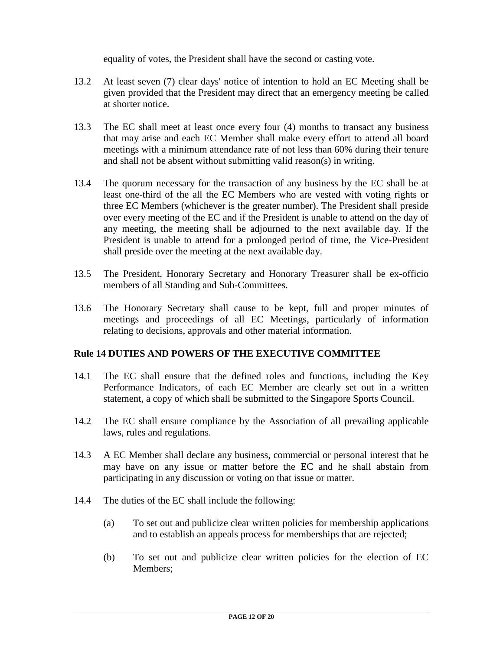equality of votes, the President shall have the second or casting vote.

- 13.2 At least seven (7) clear days' notice of intention to hold an EC Meeting shall be given provided that the President may direct that an emergency meeting be called at shorter notice.
- 13.3 The EC shall meet at least once every four (4) months to transact any business that may arise and each EC Member shall make every effort to attend all board meetings with a minimum attendance rate of not less than 60% during their tenure and shall not be absent without submitting valid reason(s) in writing.
- 13.4 The quorum necessary for the transaction of any business by the EC shall be at least one-third of the all the EC Members who are vested with voting rights or three EC Members (whichever is the greater number). The President shall preside over every meeting of the EC and if the President is unable to attend on the day of any meeting, the meeting shall be adjourned to the next available day. If the President is unable to attend for a prolonged period of time, the Vice-President shall preside over the meeting at the next available day.
- 13.5 The President, Honorary Secretary and Honorary Treasurer shall be ex-officio members of all Standing and Sub-Committees.
- 13.6 The Honorary Secretary shall cause to be kept, full and proper minutes of meetings and proceedings of all EC Meetings, particularly of information relating to decisions, approvals and other material information.

### **Rule 14 DUTIES AND POWERS OF THE EXECUTIVE COMMITTEE**

- 14.1 The EC shall ensure that the defined roles and functions, including the Key Performance Indicators, of each EC Member are clearly set out in a written statement, a copy of which shall be submitted to the Singapore Sports Council.
- 14.2 The EC shall ensure compliance by the Association of all prevailing applicable laws, rules and regulations.
- 14.3 A EC Member shall declare any business, commercial or personal interest that he may have on any issue or matter before the EC and he shall abstain from participating in any discussion or voting on that issue or matter.
- 14.4 The duties of the EC shall include the following:
	- (a) To set out and publicize clear written policies for membership applications and to establish an appeals process for memberships that are rejected;
	- (b) To set out and publicize clear written policies for the election of EC Members;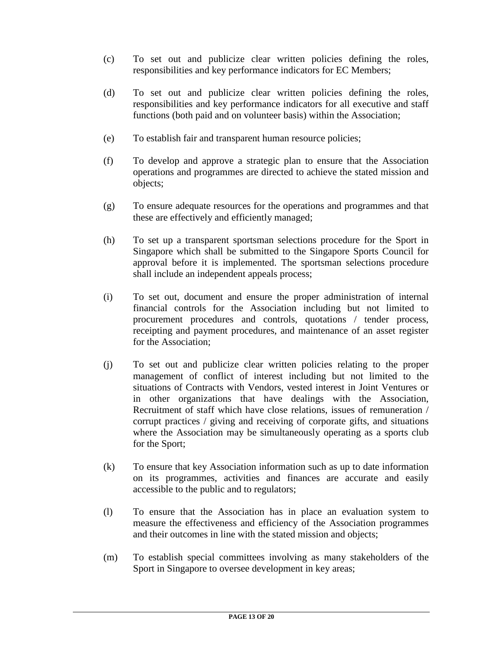- (c) To set out and publicize clear written policies defining the roles, responsibilities and key performance indicators for EC Members;
- (d) To set out and publicize clear written policies defining the roles, responsibilities and key performance indicators for all executive and staff functions (both paid and on volunteer basis) within the Association;
- (e) To establish fair and transparent human resource policies;
- (f) To develop and approve a strategic plan to ensure that the Association operations and programmes are directed to achieve the stated mission and objects;
- (g) To ensure adequate resources for the operations and programmes and that these are effectively and efficiently managed;
- (h) To set up a transparent sportsman selections procedure for the Sport in Singapore which shall be submitted to the Singapore Sports Council for approval before it is implemented. The sportsman selections procedure shall include an independent appeals process;
- (i) To set out, document and ensure the proper administration of internal financial controls for the Association including but not limited to procurement procedures and controls, quotations / tender process, receipting and payment procedures, and maintenance of an asset register for the Association;
- (j) To set out and publicize clear written policies relating to the proper management of conflict of interest including but not limited to the situations of Contracts with Vendors, vested interest in Joint Ventures or in other organizations that have dealings with the Association, Recruitment of staff which have close relations, issues of remuneration / corrupt practices / giving and receiving of corporate gifts, and situations where the Association may be simultaneously operating as a sports club for the Sport;
- (k) To ensure that key Association information such as up to date information on its programmes, activities and finances are accurate and easily accessible to the public and to regulators;
- (l) To ensure that the Association has in place an evaluation system to measure the effectiveness and efficiency of the Association programmes and their outcomes in line with the stated mission and objects;
- (m) To establish special committees involving as many stakeholders of the Sport in Singapore to oversee development in key areas;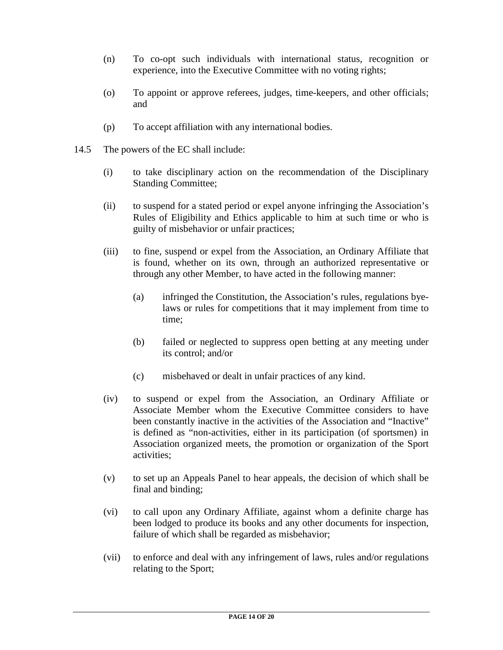- (n) To co-opt such individuals with international status, recognition or experience, into the Executive Committee with no voting rights;
- (o) To appoint or approve referees, judges, time-keepers, and other officials; and
- (p) To accept affiliation with any international bodies.
- 14.5 The powers of the EC shall include:
	- (i) to take disciplinary action on the recommendation of the Disciplinary Standing Committee;
	- (ii) to suspend for a stated period or expel anyone infringing the Association's Rules of Eligibility and Ethics applicable to him at such time or who is guilty of misbehavior or unfair practices;
	- (iii) to fine, suspend or expel from the Association, an Ordinary Affiliate that is found, whether on its own, through an authorized representative or through any other Member, to have acted in the following manner:
		- (a) infringed the Constitution, the Association's rules, regulations byelaws or rules for competitions that it may implement from time to time;
		- (b) failed or neglected to suppress open betting at any meeting under its control; and/or
		- (c) misbehaved or dealt in unfair practices of any kind.
	- (iv) to suspend or expel from the Association, an Ordinary Affiliate or Associate Member whom the Executive Committee considers to have been constantly inactive in the activities of the Association and "Inactive" is defined as "non-activities, either in its participation (of sportsmen) in Association organized meets, the promotion or organization of the Sport activities;
	- (v) to set up an Appeals Panel to hear appeals, the decision of which shall be final and binding;
	- (vi) to call upon any Ordinary Affiliate, against whom a definite charge has been lodged to produce its books and any other documents for inspection, failure of which shall be regarded as misbehavior;
	- (vii) to enforce and deal with any infringement of laws, rules and/or regulations relating to the Sport;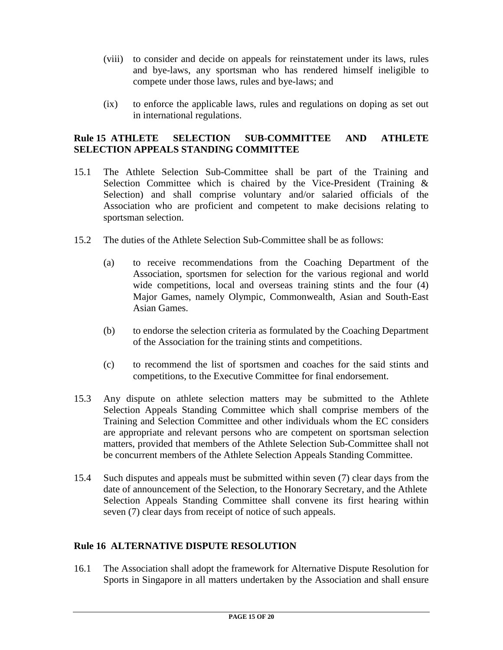- (viii) to consider and decide on appeals for reinstatement under its laws, rules and bye-laws, any sportsman who has rendered himself ineligible to compete under those laws, rules and bye-laws; and
- (ix) to enforce the applicable laws, rules and regulations on doping as set out in international regulations.

### **Rule 15 ATHLETE SELECTION SUB-COMMITTEE AND ATHLETE SELECTION APPEALS STANDING COMMITTEE**

- 15.1 The Athlete Selection Sub-Committee shall be part of the Training and Selection Committee which is chaired by the Vice-President (Training & Selection) and shall comprise voluntary and/or salaried officials of the Association who are proficient and competent to make decisions relating to sportsman selection.
- 15.2 The duties of the Athlete Selection Sub-Committee shall be as follows:
	- (a) to receive recommendations from the Coaching Department of the Association, sportsmen for selection for the various regional and world wide competitions, local and overseas training stints and the four (4) Major Games, namely Olympic, Commonwealth, Asian and South-East Asian Games.
	- (b) to endorse the selection criteria as formulated by the Coaching Department of the Association for the training stints and competitions.
	- (c) to recommend the list of sportsmen and coaches for the said stints and competitions, to the Executive Committee for final endorsement.
- 15.3 Any dispute on athlete selection matters may be submitted to the Athlete Selection Appeals Standing Committee which shall comprise members of the Training and Selection Committee and other individuals whom the EC considers are appropriate and relevant persons who are competent on sportsman selection matters, provided that members of the Athlete Selection Sub-Committee shall not be concurrent members of the Athlete Selection Appeals Standing Committee.
- 15.4 Such disputes and appeals must be submitted within seven (7) clear days from the date of announcement of the Selection, to the Honorary Secretary, and the Athlete Selection Appeals Standing Committee shall convene its first hearing within seven (7) clear days from receipt of notice of such appeals.

## **Rule 16 ALTERNATIVE DISPUTE RESOLUTION**

16.1 The Association shall adopt the framework for Alternative Dispute Resolution for Sports in Singapore in all matters undertaken by the Association and shall ensure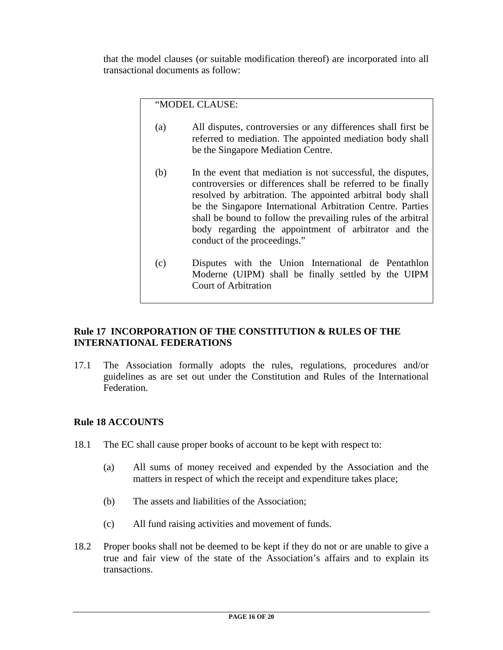that the model clauses (or suitable modification thereof) are incorporated into all transactional documents as follow:

"MODEL CLAUSE:

- (a) All disputes, controversies or any differences shall first be referred to mediation. The appointed mediation body shall be the Singapore Mediation Centre.
- (b) In the event that mediation is not successful, the disputes, controversies or differences shall be referred to be finally resolved by arbitration. The appointed arbitral body shall be the Singapore International Arbitration Centre. Parties shall be bound to follow the prevailing rules of the arbitral body regarding the appointment of arbitrator and the conduct of the proceedings."
- (c) Disputes with the Union International de Pentathlon Moderne (UIPM) shall be finally settled by the UIPM Court of Arbitration

### **Rule 17 INCORPORATION OF THE CONSTITUTION & RULES OF THE INTERNATIONAL FEDERATIONS**

17.1 The Association formally adopts the rules, regulations, procedures and/or guidelines as are set out under the Constitution and Rules of the International Federation.

### **Rule 18 ACCOUNTS**

- 18.1 The EC shall cause proper books of account to be kept with respect to:
	- (a) All sums of money received and expended by the Association and the matters in respect of which the receipt and expenditure takes place;
	- (b) The assets and liabilities of the Association;
	- (c) All fund raising activities and movement of funds.
- 18.2 Proper books shall not be deemed to be kept if they do not or are unable to give a true and fair view of the state of the Association's affairs and to explain its transactions.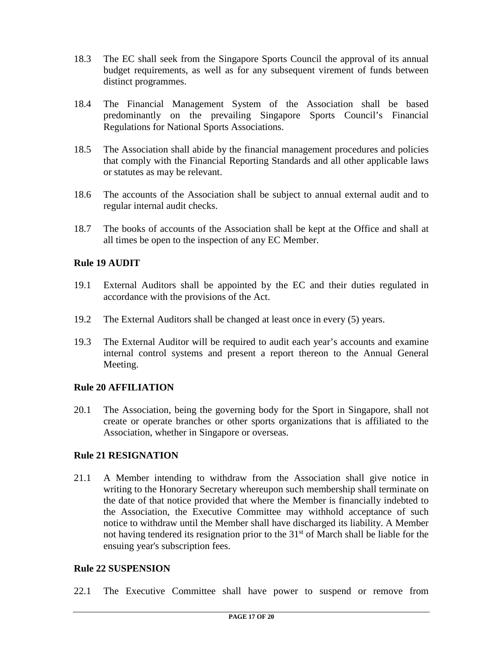- 18.3 The EC shall seek from the Singapore Sports Council the approval of its annual budget requirements, as well as for any subsequent virement of funds between distinct programmes.
- 18.4 The Financial Management System of the Association shall be based predominantly on the prevailing Singapore Sports Council's Financial Regulations for National Sports Associations.
- 18.5 The Association shall abide by the financial management procedures and policies that comply with the Financial Reporting Standards and all other applicable laws or statutes as may be relevant.
- 18.6 The accounts of the Association shall be subject to annual external audit and to regular internal audit checks.
- 18.7 The books of accounts of the Association shall be kept at the Office and shall at all times be open to the inspection of any EC Member.

### **Rule 19 AUDIT**

- 19.1 External Auditors shall be appointed by the EC and their duties regulated in accordance with the provisions of the Act.
- 19.2 The External Auditors shall be changed at least once in every (5) years.
- 19.3 The External Auditor will be required to audit each year's accounts and examine internal control systems and present a report thereon to the Annual General Meeting.

### **Rule 20 AFFILIATION**

20.1 The Association, being the governing body for the Sport in Singapore, shall not create or operate branches or other sports organizations that is affiliated to the Association, whether in Singapore or overseas.

### **Rule 21 RESIGNATION**

21.1 A Member intending to withdraw from the Association shall give notice in writing to the Honorary Secretary whereupon such membership shall terminate on the date of that notice provided that where the Member is financially indebted to the Association, the Executive Committee may withhold acceptance of such notice to withdraw until the Member shall have discharged its liability. A Member not having tendered its resignation prior to the 31<sup>st</sup> of March shall be liable for the ensuing year's subscription fees.

### **Rule 22 SUSPENSION**

22.1 The Executive Committee shall have power to suspend or remove from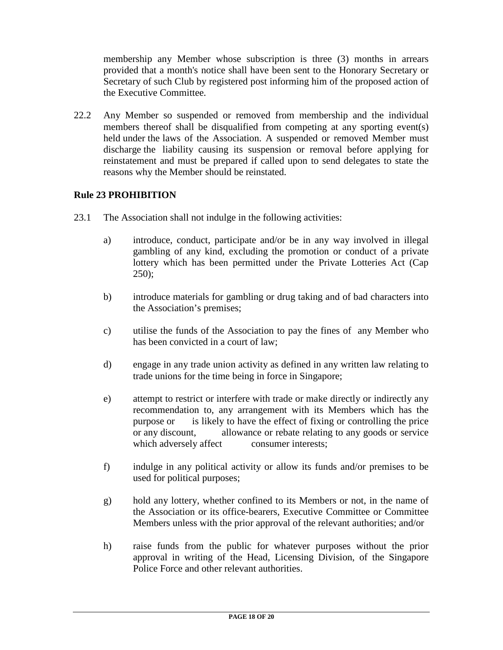membership any Member whose subscription is three (3) months in arrears provided that a month's notice shall have been sent to the Honorary Secretary or Secretary of such Club by registered post informing him of the proposed action of the Executive Committee.

22.2 Any Member so suspended or removed from membership and the individual members thereof shall be disqualified from competing at any sporting event(s) held under the laws of the Association. A suspended or removed Member must discharge the liability causing its suspension or removal before applying for reinstatement and must be prepared if called upon to send delegates to state the reasons why the Member should be reinstated.

### **Rule 23 PROHIBITION**

- 23.1 The Association shall not indulge in the following activities:
	- a) introduce, conduct, participate and/or be in any way involved in illegal gambling of any kind, excluding the promotion or conduct of a private lottery which has been permitted under the Private Lotteries Act (Cap  $250$ :
	- b) introduce materials for gambling or drug taking and of bad characters into the Association's premises;
	- c) utilise the funds of the Association to pay the fines of any Member who has been convicted in a court of law;
	- d) engage in any trade union activity as defined in any written law relating to trade unions for the time being in force in Singapore;
	- e) attempt to restrict or interfere with trade or make directly or indirectly any recommendation to, any arrangement with its Members which has the purpose or is likely to have the effect of fixing or controlling the price or any discount, allowance or rebate relating to any goods or service which adversely affect consumer interests;
	- f) indulge in any political activity or allow its funds and/or premises to be used for political purposes;
	- g) hold any lottery, whether confined to its Members or not, in the name of the Association or its office-bearers, Executive Committee or Committee Members unless with the prior approval of the relevant authorities; and/or
	- h) raise funds from the public for whatever purposes without the prior approval in writing of the Head, Licensing Division, of the Singapore Police Force and other relevant authorities.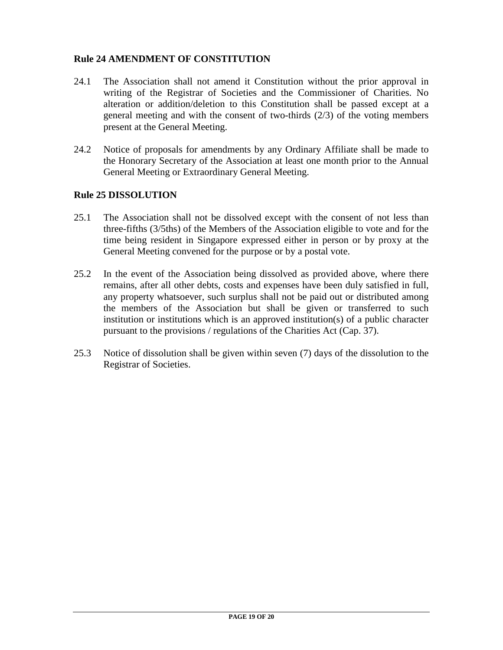## **Rule 24 AMENDMENT OF CONSTITUTION**

- 24.1 The Association shall not amend it Constitution without the prior approval in writing of the Registrar of Societies and the Commissioner of Charities. No alteration or addition/deletion to this Constitution shall be passed except at a general meeting and with the consent of two-thirds (2/3) of the voting members present at the General Meeting.
- 24.2 Notice of proposals for amendments by any Ordinary Affiliate shall be made to the Honorary Secretary of the Association at least one month prior to the Annual General Meeting or Extraordinary General Meeting.

#### **Rule 25 DISSOLUTION**

- 25.1 The Association shall not be dissolved except with the consent of not less than three-fifths (3/5ths) of the Members of the Association eligible to vote and for the time being resident in Singapore expressed either in person or by proxy at the General Meeting convened for the purpose or by a postal vote.
- 25.2 In the event of the Association being dissolved as provided above, where there remains, after all other debts, costs and expenses have been duly satisfied in full, any property whatsoever, such surplus shall not be paid out or distributed among the members of the Association but shall be given or transferred to such institution or institutions which is an approved institution(s) of a public character pursuant to the provisions / regulations of the Charities Act (Cap. 37).
- 25.3 Notice of dissolution shall be given within seven (7) days of the dissolution to the Registrar of Societies.